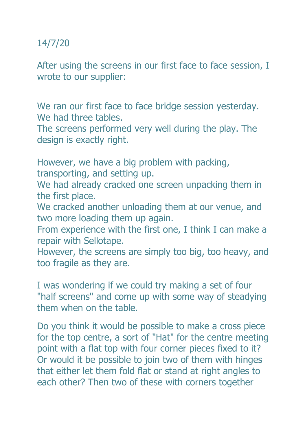## 14/7/20

After using the screens in our first face to face session, I wrote to our supplier:

We ran our first face to face bridge session yesterday. We had three tables.

The screens performed very well during the play. The design is exactly right.

However, we have a big problem with packing, transporting, and setting up.

We had already cracked one screen unpacking them in the first place.

We cracked another unloading them at our venue, and two more loading them up again.

From experience with the first one, I think I can make a repair with Sellotape.

However, the screens are simply too big, too heavy, and too fragile as they are.

I was wondering if we could try making a set of four "half screens" and come up with some way of steadying them when on the table.

Do you think it would be possible to make a cross piece for the top centre, a sort of "Hat" for the centre meeting point with a flat top with four corner pieces fixed to it? Or would it be possible to join two of them with hinges that either let them fold flat or stand at right angles to each other? Then two of these with corners together